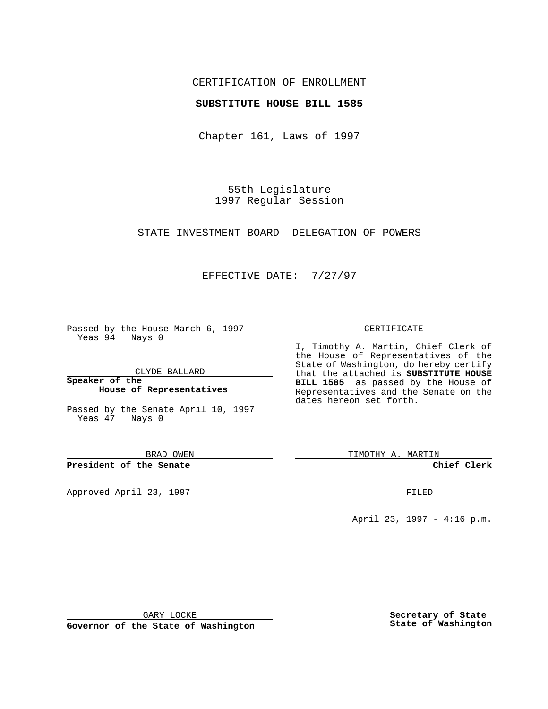## CERTIFICATION OF ENROLLMENT

### **SUBSTITUTE HOUSE BILL 1585**

Chapter 161, Laws of 1997

55th Legislature 1997 Regular Session

STATE INVESTMENT BOARD--DELEGATION OF POWERS

## EFFECTIVE DATE: 7/27/97

Passed by the House March 6, 1997 Yeas 94 Nays 0

CLYDE BALLARD

**Speaker of the House of Representatives**

Passed by the Senate April 10, 1997 Yeas 47 Nays 0

BRAD OWEN

**President of the Senate**

Approved April 23, 1997 FILED

#### CERTIFICATE

I, Timothy A. Martin, Chief Clerk of the House of Representatives of the State of Washington, do hereby certify that the attached is **SUBSTITUTE HOUSE BILL 1585** as passed by the House of Representatives and the Senate on the dates hereon set forth.

TIMOTHY A. MARTIN

**Chief Clerk**

April 23, 1997 - 4:16 p.m.

GARY LOCKE

**Governor of the State of Washington**

**Secretary of State State of Washington**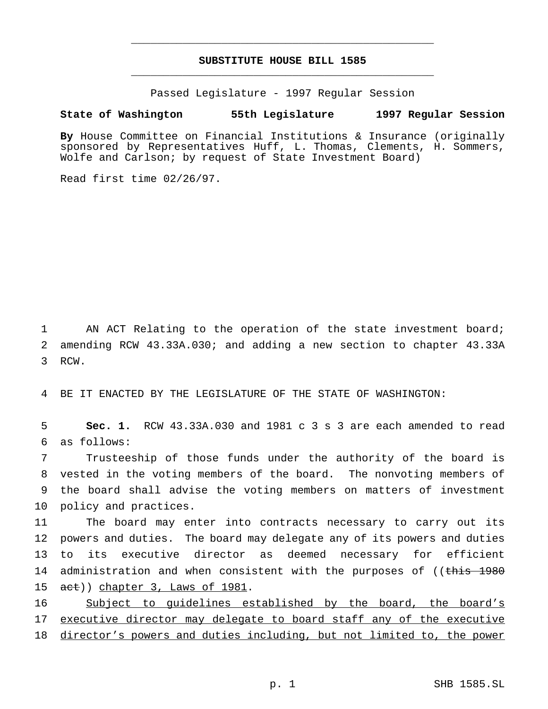# **SUBSTITUTE HOUSE BILL 1585** \_\_\_\_\_\_\_\_\_\_\_\_\_\_\_\_\_\_\_\_\_\_\_\_\_\_\_\_\_\_\_\_\_\_\_\_\_\_\_\_\_\_\_\_\_\_\_

\_\_\_\_\_\_\_\_\_\_\_\_\_\_\_\_\_\_\_\_\_\_\_\_\_\_\_\_\_\_\_\_\_\_\_\_\_\_\_\_\_\_\_\_\_\_\_

Passed Legislature - 1997 Regular Session

### **State of Washington 55th Legislature 1997 Regular Session**

**By** House Committee on Financial Institutions & Insurance (originally sponsored by Representatives Huff, L. Thomas, Clements, H. Sommers, Wolfe and Carlson; by request of State Investment Board)

Read first time 02/26/97.

1 AN ACT Relating to the operation of the state investment board; 2 amending RCW 43.33A.030; and adding a new section to chapter 43.33A 3 RCW.

4 BE IT ENACTED BY THE LEGISLATURE OF THE STATE OF WASHINGTON:

5 **Sec. 1.** RCW 43.33A.030 and 1981 c 3 s 3 are each amended to read 6 as follows:

 Trusteeship of those funds under the authority of the board is vested in the voting members of the board. The nonvoting members of the board shall advise the voting members on matters of investment policy and practices.

11 The board may enter into contracts necessary to carry out its 12 powers and duties. The board may delegate any of its powers and duties 13 to its executive director as deemed necessary for efficient 14 administration and when consistent with the purposes of ((this 1980 15 act)) chapter 3, Laws of 1981.

16 Subject to guidelines established by the board, the board's 17 executive director may delegate to board staff any of the executive 18 director's powers and duties including, but not limited to, the power